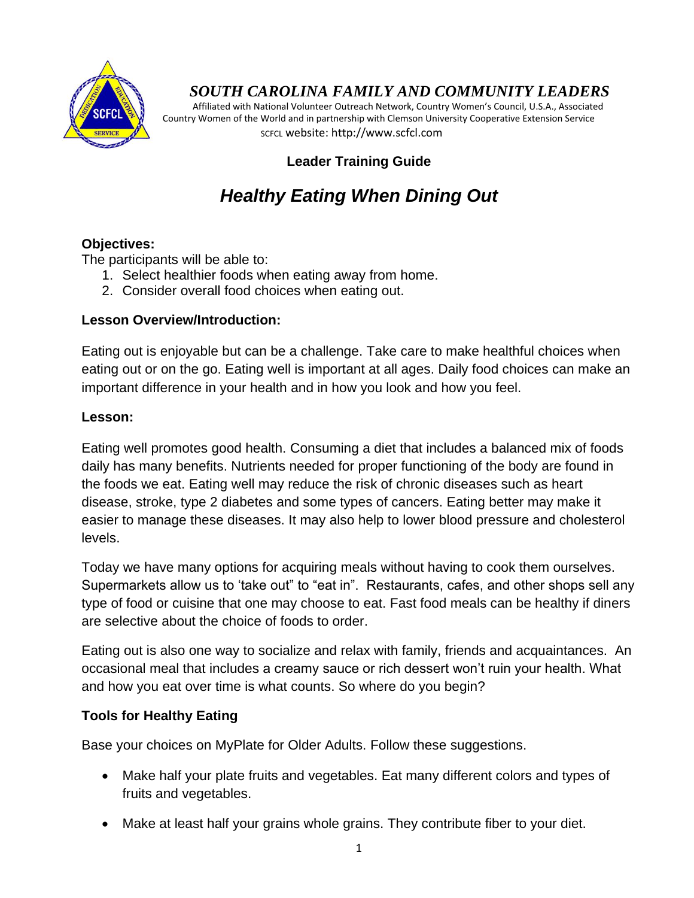

## *SOUTH CAROLINA FAMILY AND COMMUNITY LEADERS*

 Affiliated with National Volunteer Outreach Network, Country Women's Council, U.S.A., Associated Country Women of the World and in partnership with Clemson University Cooperative Extension Service SCFCL website: http://www.scfcl.com

## **Leader Training Guide**

# *Healthy Eating When Dining Out*

## **Objectives:**

The participants will be able to:

- 1. Select healthier foods when eating away from home.
- 2. Consider overall food choices when eating out.

## **Lesson Overview/Introduction:**

Eating out is enjoyable but can be a challenge. Take care to make healthful choices when eating out or on the go. Eating well is important at all ages. Daily food choices can make an important difference in your health and in how you look and how you feel.

#### **Lesson:**

Eating well promotes good health. Consuming a diet that includes a balanced mix of foods daily has many benefits. Nutrients needed for proper functioning of the body are found in the foods we eat. Eating well may reduce the risk of chronic diseases such as heart disease, stroke, type 2 diabetes and some types of cancers. Eating better may make it easier to manage these diseases. It may also help to lower blood pressure and cholesterol levels.

Today we have many options for acquiring meals without having to cook them ourselves. Supermarkets allow us to "take out" to "eat in". Restaurants, cafes, and other shops sell any type of food or cuisine that one may choose to eat. Fast food meals can be healthy if diners are selective about the choice of foods to order.

Eating out is also one way to socialize and relax with family, friends and acquaintances. An occasional meal that includes a creamy sauce or rich dessert won"t ruin your health. What and how you eat over time is what counts. So where do you begin?

## **Tools for Healthy Eating**

Base your choices on MyPlate for Older Adults. Follow these suggestions.

- Make half your plate fruits and vegetables. Eat many different colors and types of fruits and vegetables.
- Make at least half your grains whole grains. They contribute fiber to your diet.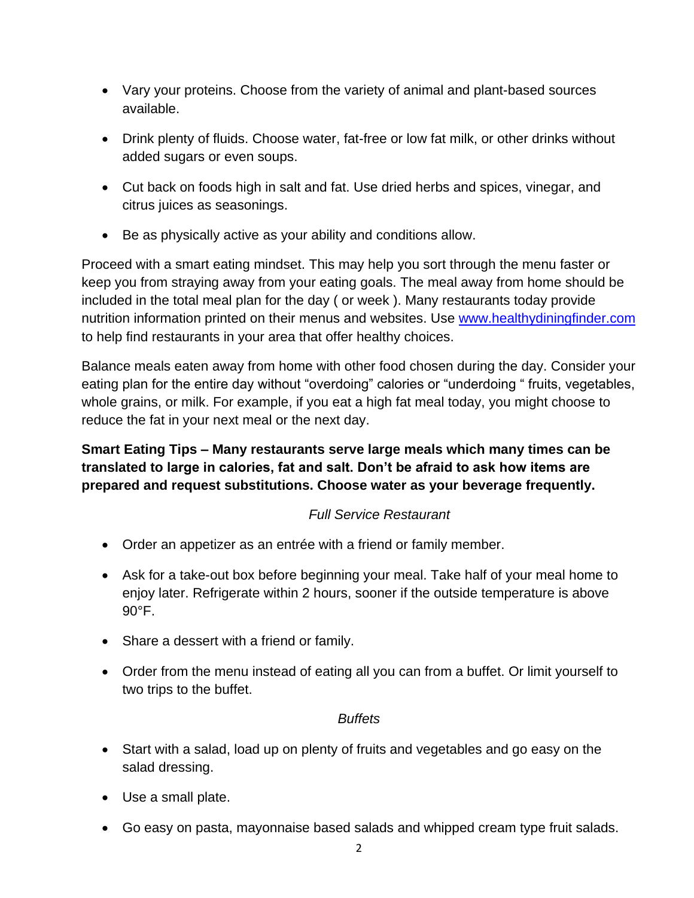- Vary your proteins. Choose from the variety of animal and plant-based sources available.
- Drink plenty of fluids. Choose water, fat-free or low fat milk, or other drinks without added sugars or even soups.
- Cut back on foods high in salt and fat. Use dried herbs and spices, vinegar, and citrus juices as seasonings.
- Be as physically active as your ability and conditions allow.

Proceed with a smart eating mindset. This may help you sort through the menu faster or keep you from straying away from your eating goals. The meal away from home should be included in the total meal plan for the day ( or week ). Many restaurants today provide nutrition information printed on their menus and websites. Use [www.healthydiningfinder.com](http://www.healthydiningfinder.com/) to help find restaurants in your area that offer healthy choices.

Balance meals eaten away from home with other food chosen during the day. Consider your eating plan for the entire day without "overdoing" calories or "underdoing " fruits, vegetables, whole grains, or milk. For example, if you eat a high fat meal today, you might choose to reduce the fat in your next meal or the next day.

**Smart Eating Tips – Many restaurants serve large meals which many times can be translated to large in calories, fat and salt. Don't be afraid to ask how items are prepared and request substitutions. Choose water as your beverage frequently.**

## *Full Service Restaurant*

- Order an appetizer as an entrée with a friend or family member.
- Ask for a take-out box before beginning your meal. Take half of your meal home to enjoy later. Refrigerate within 2 hours, sooner if the outside temperature is above 90°F.
- Share a dessert with a friend or family.
- Order from the menu instead of eating all you can from a buffet. Or limit yourself to two trips to the buffet.

## *Buffets*

- Start with a salad, load up on plenty of fruits and vegetables and go easy on the salad dressing.
- Use a small plate.
- Go easy on pasta, mayonnaise based salads and whipped cream type fruit salads.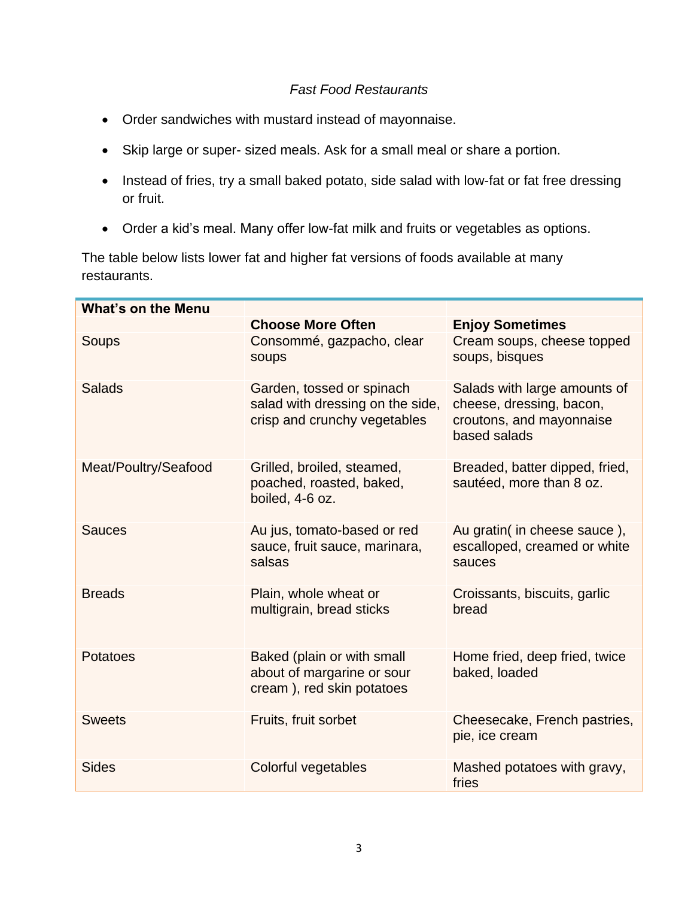## *Fast Food Restaurants*

- Order sandwiches with mustard instead of mayonnaise.
- Skip large or super- sized meals. Ask for a small meal or share a portion.
- Instead of fries, try a small baked potato, side salad with low-fat or fat free dressing or fruit.
- Order a kid"s meal. Many offer low-fat milk and fruits or vegetables as options.

The table below lists lower fat and higher fat versions of foods available at many restaurants.

| <b>What's on the Menu</b> |                                                                                               |                                                                                                      |
|---------------------------|-----------------------------------------------------------------------------------------------|------------------------------------------------------------------------------------------------------|
|                           | <b>Choose More Often</b>                                                                      | <b>Enjoy Sometimes</b>                                                                               |
| Soups                     | Consommé, gazpacho, clear<br>soups                                                            | Cream soups, cheese topped<br>soups, bisques                                                         |
| <b>Salads</b>             | Garden, tossed or spinach<br>salad with dressing on the side,<br>crisp and crunchy vegetables | Salads with large amounts of<br>cheese, dressing, bacon,<br>croutons, and mayonnaise<br>based salads |
| Meat/Poultry/Seafood      | Grilled, broiled, steamed,<br>poached, roasted, baked,<br>boiled, 4-6 oz.                     | Breaded, batter dipped, fried,<br>sautéed, more than 8 oz.                                           |
| <b>Sauces</b>             | Au jus, tomato-based or red<br>sauce, fruit sauce, marinara,<br>salsas                        | Au gratin( in cheese sauce ),<br>escalloped, creamed or white<br>sauces                              |
| <b>Breads</b>             | Plain, whole wheat or<br>multigrain, bread sticks                                             | Croissants, biscuits, garlic<br>bread                                                                |
| <b>Potatoes</b>           | Baked (plain or with small<br>about of margarine or sour<br>cream), red skin potatoes         | Home fried, deep fried, twice<br>baked, loaded                                                       |
| <b>Sweets</b>             | Fruits, fruit sorbet                                                                          | Cheesecake, French pastries,<br>pie, ice cream                                                       |
| <b>Sides</b>              | Colorful vegetables                                                                           | Mashed potatoes with gravy,<br>fries                                                                 |